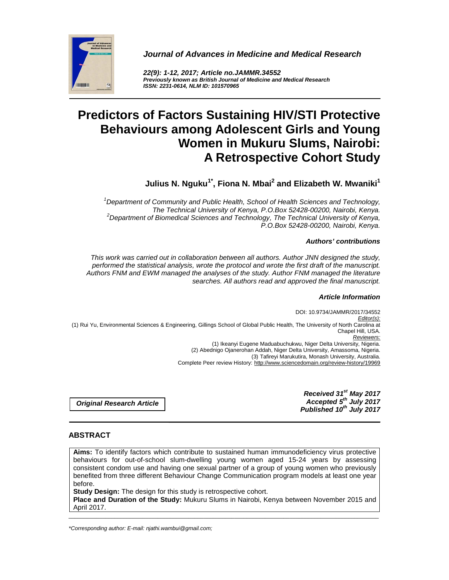

**Journal of Advances in Medicine and Medical Research** 

**22(9): 1-12, 2017; Article no.JAMMR.34552 Previously known as British Journal of Medicine and Medical Research ISSN: 2231-0614, NLM ID: 101570965** 

# **Predictors of Factors Sustaining HIV/STI Protective Behaviours among Adolescent Girls and Young Women in Mukuru Slums, Nairobi: A Retrospective Cohort Study**

 **Julius N. Nguku1\*, Fiona N. Mbai<sup>2</sup> and Elizabeth W. Mwaniki<sup>1</sup>**

 $1$ Department of Community and Public Health, School of Health Sciences and Technology, The Technical University of Kenya, P.O.Box 52428-00200, Nairobi, Kenya.  $2$ Department of Biomedical Sciences and Technology, The Technical University of Kenya, P.O.Box 52428-00200, Nairobi, Kenya.

#### **Authors' contributions**

This work was carried out in collaboration between all authors. Author JNN designed the study, performed the statistical analysis, wrote the protocol and wrote the first draft of the manuscript. Authors FNM and EWM managed the analyses of the study. Author FNM managed the literature searches. All authors read and approved the final manuscript.

#### **Article Information**

DOI: 10.9734/JAMMR/2017/34552 Editor(s): (1) Rui Yu, Environmental Sciences & Engineering, Gillings School of Global Public Health, The University of North Carolina at Chapel Hill, USA. Reviewers: (1) Ikeanyi Eugene Maduabuchukwu, Niger Delta University, Nigeria. (2) Abednigo Ojanerohan Addah, Niger Delta University, Amassoma, Nigeria. (3) Tafireyi Marukutira, Monash University, Australia. Complete Peer review History: http://www.sciencedomain.org/review-history/19969

> **Received 31st May 2017 Accepted 5th July 2017 Published 10th July 2017**

**Original Research Article**

# **ABSTRACT**

**Aims:** To identify factors which contribute to sustained human immunodeficiency virus protective behaviours for out-of-school slum-dwelling young women aged 15-24 years by assessing consistent condom use and having one sexual partner of a group of young women who previously benefited from three different Behaviour Change Communication program models at least one year before.

**Study Design:** The design for this study is retrospective cohort.

\_\_\_\_\_\_\_\_\_\_\_\_\_\_\_\_\_\_\_\_\_\_\_\_\_\_\_\_\_\_\_\_\_\_\_\_\_\_\_\_\_\_\_\_\_\_\_\_\_\_\_\_\_\_\_\_\_\_\_\_\_\_\_\_\_\_\_\_\_\_\_\_\_\_\_\_\_\_\_\_\_\_\_\_\_\_\_\_\_\_\_\_\_\_\_\_\_\_\_\_\_ **Place and Duration of the Study:** Mukuru Slums in Nairobi, Kenya between November 2015 and April 2017.

<sup>\*</sup>Corresponding author: E-mail: njathi.wambui@gmail.com;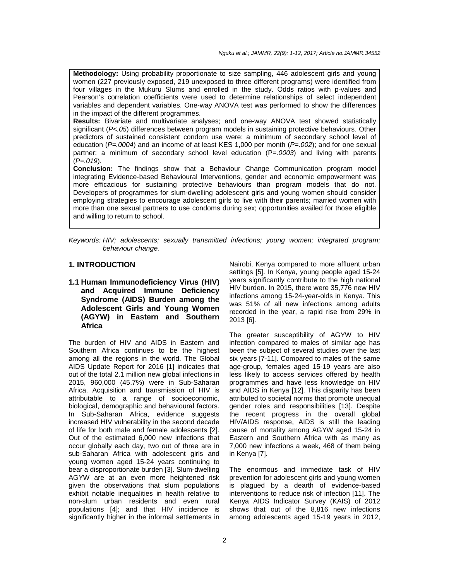Nguku et al.; JAMMR, 22(9): 1-12, 2017; Article no.JAMMR.34552

**Methodology:** Using probability proportionate to size sampling, 446 adolescent girls and young women (227 previously exposed, 219 unexposed to three different programs) were identified from four villages in the Mukuru Slums and enrolled in the study. Odds ratios with p-values and Pearson's correlation coefficients were used to determine relationships of select independent variables and dependent variables. One-way ANOVA test was performed to show the differences in the impact of the different programmes.

**Results:** Bivariate and multivariate analyses; and one-way ANOVA test showed statistically significant (P<.05) differences between program models in sustaining protective behaviours. Other predictors of sustained consistent condom use were: a minimum of secondary school level of education ( $P=0.004$ ) and an income of at least KES 1,000 per month ( $P=0.002$ ); and for one sexual partner: a minimum of secondary school level education (P=.0003) and living with parents  $(P=.019)$ .

**Conclusion:** The findings show that a Behaviour Change Communication program model integrating Evidence-based Behavioural Interventions, gender and economic empowerment was more efficacious for sustaining protective behaviours than program models that do not. Developers of programmes for slum-dwelling adolescent girls and young women should consider employing strategies to encourage adolescent girls to live with their parents; married women with more than one sexual partners to use condoms during sex; opportunities availed for those eligible and willing to return to school.

Keywords: HIV; adolescents; sexually transmitted infections; young women; integrated program; behaviour change.

#### **1. INTRODUCTION**

# **1.1 Human Immunodeficiency Virus (HIV) and Acquired Immune Deficiency Syndrome (AIDS) Burden among the Adolescent Girls and Young Women (AGYW) in Eastern and Southern Africa**

The burden of HIV and AIDS in Eastern and Southern Africa continues to be the highest among all the regions in the world. The Global AIDS Update Report for 2016 [1] indicates that out of the total 2.1 million new global infections in 2015, 960,000 (45.7%) were in Sub-Saharan Africa. Acquisition and transmission of HIV is attributable to a range of socioeconomic, biological, demographic and behavioural factors. In Sub-Saharan Africa, evidence suggests increased HIV vulnerability in the second decade of life for both male and female adolescents [2]. Out of the estimated 6,000 new infections that occur globally each day, two out of three are in sub-Saharan Africa with adolescent girls and young women aged 15-24 years continuing to bear a disproportionate burden [3]. Slum-dwelling AGYW are at an even more heightened risk given the observations that slum populations exhibit notable inequalities in health relative to non-slum urban residents and even rural populations [4]; and that HIV incidence is significantly higher in the informal settlements in

Nairobi, Kenya compared to more affluent urban settings [5]. In Kenya, young people aged 15-24 years significantly contribute to the high national HIV burden. In 2015, there were 35,776 new HIV infections among 15-24-year-olds in Kenya. This was 51% of all new infections among adults recorded in the year, a rapid rise from 29% in 2013 [6].

The greater susceptibility of AGYW to HIV infection compared to males of similar age has been the subject of several studies over the last six years [7-11]. Compared to males of the same age-group, females aged 15-19 years are also less likely to access services offered by health programmes and have less knowledge on HIV and AIDS in Kenya [12]. This disparity has been attributed to societal norms that promote unequal gender roles and responsibilities [13]. Despite the recent progress in the overall global HIV/AIDS response, AIDS is still the leading cause of mortality among AGYW aged 15-24 in Eastern and Southern Africa with as many as 7,000 new infections a week, 468 of them being in Kenya [7].

The enormous and immediate task of HIV prevention for adolescent girls and young women is plagued by a dearth of evidence-based interventions to reduce risk of infection [11]. The Kenya AIDS Indicator Survey (KAIS) of 2012 shows that out of the 8,816 new infections among adolescents aged 15-19 years in 2012,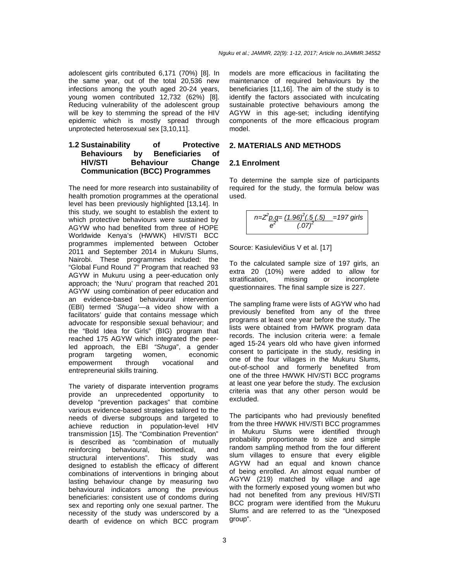adolescent girls contributed 6,171 (70%) [8]. In the same year, out of the total 20,536 new infections among the youth aged 20-24 years, young women contributed 12,732 (62%) [8]. Reducing vulnerability of the adolescent group will be key to stemming the spread of the HIV epidemic which is mostly spread through unprotected heterosexual sex [3,10,11].

# **1.2 Sustainability of Protective Behaviours by Beneficiaries of HIV/STI Behaviour Change Communication (BCC) Programmes**

The need for more research into sustainability of health promotion programmes at the operational level has been previously highlighted [13,14]. In this study, we sought to establish the extent to which protective behaviours were sustained by AGYW who had benefited from three of HOPE Worldwide Kenya's (HWWK) HIV/STI BCC programmes implemented between October 2011 and September 2014 in Mukuru Slums, Nairobi. These programmes included: the "Global Fund Round 7" Program that reached 93 AGYW in Mukuru using a peer-education only approach; the 'Nuru' program that reached 201 AGYW using combination of peer education and an evidence-based behavioural intervention (EBI) termed 'Shuga'—a video show with a facilitators' guide that contains message which advocate for responsible sexual behaviour; and the "Bold Idea for Girls" (BIG) program that reached 175 AGYW which integrated the peerled approach, the EBI "Shuga", a gender program targeting women, economic empowerment through vocational and entrepreneurial skills training.

The variety of disparate intervention programs provide an unprecedented opportunity to develop "prevention packages" that combine various evidence-based strategies tailored to the needs of diverse subgroups and targeted to achieve reduction in population-level HIV transmission [15]. The "Combination Prevention" is described as "combination of mutually reinforcing behavioural, biomedical, and structural interventions". This study was designed to establish the efficacy of different combinations of interventions in bringing about lasting behaviour change by measuring two behavioural indicators among the previous beneficiaries: consistent use of condoms during sex and reporting only one sexual partner. The necessity of the study was underscored by a dearth of evidence on which BCC program

models are more efficacious in facilitating the maintenance of required behaviours by the beneficiaries [11,16]. The aim of the study is to identify the factors associated with inculcating sustainable protective behaviours among the AGYW in this age-set; including identifying components of the more efficacious program model.

# **2. MATERIALS AND METHODS**

#### **2.1 Enrolment**

To determine the sample size of participants required for the study, the formula below was used.

$$
n = \frac{z^2 p.q}{e^2} \frac{(1.96)^2(.5(.5))}{(.07)^2} = 197 \text{ girls}
$$

Source: Kasiulevičius V et al. [17]

To the calculated sample size of 197 girls, an extra 20 (10%) were added to allow for stratification, missing or incomplete questionnaires. The final sample size is 227.

The sampling frame were lists of AGYW who had previously benefited from any of the three programs at least one year before the study. The lists were obtained from HWWK program data records. The inclusion criteria were: a female aged 15-24 years old who have given informed consent to participate in the study, residing in one of the four villages in the Mukuru Slums, out-of-school and formerly benefited from one of the three HWWK HIV/STI BCC programs at least one year before the study. The exclusion criteria was that any other person would be excluded.

The participants who had previously benefited from the three HWWK HIV/STI BCC programmes in Mukuru Slums were identified through probability proportionate to size and simple random sampling method from the four different slum villages to ensure that every eligible AGYW had an equal and known chance of being enrolled. An almost equal number of AGYW (219) matched by village and age with the formerly exposed young women but who had not benefited from any previous HIV/STI BCC program were identified from the Mukuru Slums and are referred to as the "Unexposed group".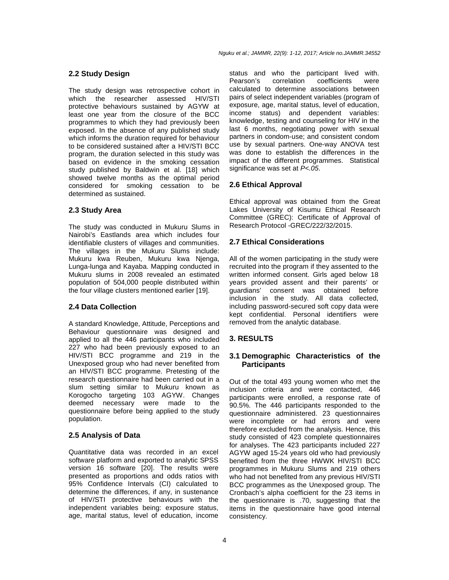#### Nguku et al.; JAMMR, 22(9): 1-12, 2017; Article no.JAMMR.34552

#### **2.2 Study Design**

The study design was retrospective cohort in which the researcher assessed HIV/STI protective behaviours sustained by AGYW at least one year from the closure of the BCC programmes to which they had previously been exposed. In the absence of any published study which informs the duration required for behaviour to be considered sustained after a HIV/STI BCC program, the duration selected in this study was based on evidence in the smoking cessation study published by Baldwin et al. [18] which showed twelve months as the optimal period considered for smoking cessation to be determined as sustained.

# **2.3 Study Area**

The study was conducted in Mukuru Slums in Nairobi's Eastlands area which includes four identifiable clusters of villages and communities. The villages in the Mukuru Slums include: Mukuru kwa Reuben, Mukuru kwa Njenga, Lunga-lunga and Kayaba. Mapping conducted in Mukuru slums in 2008 revealed an estimated population of 504,000 people distributed within the four village clusters mentioned earlier [19].

### **2.4 Data Collection**

A standard Knowledge, Attitude, Perceptions and Behaviour questionnaire was designed and applied to all the 446 participants who included 227 who had been previously exposed to an HIV/STI BCC programme and 219 in the Unexposed group who had never benefited from an HIV/STI BCC programme. Pretesting of the research questionnaire had been carried out in a slum setting similar to Mukuru known as Korogocho targeting 103 AGYW. Changes deemed necessary were made to the questionnaire before being applied to the study population.

#### **2.5 Analysis of Data**

Quantitative data was recorded in an excel software platform and exported to analytic SPSS version 16 software [20]. The results were presented as proportions and odds ratios with 95% Confidence Intervals (CI) calculated to determine the differences, if any, in sustenance of HIV/STI protective behaviours with the independent variables being: exposure status, age, marital status, level of education, income

status and who the participant lived with. Pearson's correlation coefficients were calculated to determine associations between pairs of select independent variables (program of exposure, age, marital status, level of education, income status) and dependent variables: knowledge, testing and counseling for HIV in the last 6 months, negotiating power with sexual partners in condom-use; and consistent condom use by sexual partners. One-way ANOVA test was done to establish the differences in the impact of the different programmes. Statistical significance was set at P<.05.

#### **2.6 Ethical Approval**

Ethical approval was obtained from the Great Lakes University of Kisumu Ethical Research Committee (GREC): Certificate of Approval of Research Protocol -GREC/222/32/2015.

#### **2.7 Ethical Considerations**

All of the women participating in the study were recruited into the program if they assented to the written informed consent. Girls aged below 18 years provided assent and their parents' or guardians' consent was obtained before inclusion in the study. All data collected, including password-secured soft copy data were kept confidential. Personal identifiers were removed from the analytic database.

#### **3. RESULTS**

### **3.1 Demographic Characteristics of the Participants**

Out of the total 493 young women who met the inclusion criteria and were contacted, 446 participants were enrolled, a response rate of 90.5%. The 446 participants responded to the questionnaire administered. 23 questionnaires were incomplete or had errors and were therefore excluded from the analysis. Hence, this study consisted of 423 complete questionnaires for analyses. The 423 participants included 227 AGYW aged 15-24 years old who had previously benefited from the three HWWK HIV/STI BCC programmes in Mukuru Slums and 219 others who had not benefited from any previous HIV/STI BCC programmes as the Unexposed group. The Cronbach's alpha coefficient for the 23 items in the questionnaire is .70, suggesting that the items in the questionnaire have good internal consistency.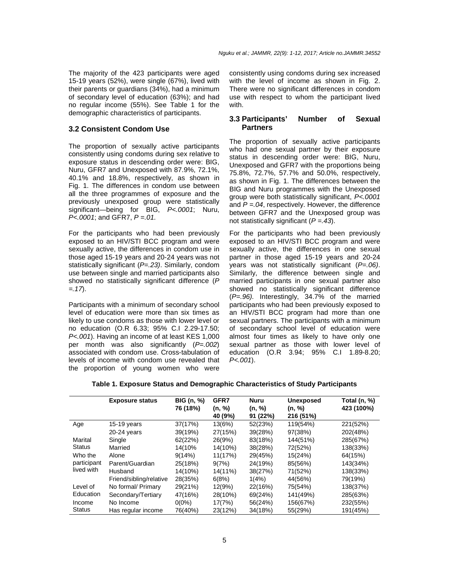The majority of the 423 participants were aged 15-19 years (52%), were single (67%), lived with their parents or guardians (34%), had a minimum of secondary level of education (63%); and had no regular income (55%). See Table 1 for the demographic characteristics of participants.

#### **3.2 Consistent Condom Use**

The proportion of sexually active participants consistently using condoms during sex relative to exposure status in descending order were: BIG, Nuru, GFR7 and Unexposed with 87.9%, 72.1%, 40.1% and 18.8%, respectively, as shown in Fig. 1. The differences in condom use between all the three programmes of exposure and the previously unexposed group were statistically significant—being for BIG, P<.0001; Nuru,  $P<.0001$ ; and GFR7,  $P = .01$ .

For the participants who had been previously exposed to an HIV/STI BCC program and were sexually active, the differences in condom use in those aged 15-19 years and 20-24 years was not statistically significant (P=.23). Similarly, condom use between single and married participants also showed no statistically significant difference (P  $= .17$ .

Participants with a minimum of secondary school level of education were more than six times as likely to use condoms as those with lower level or no education (O.R 6.33; 95% C.I 2.29-17.50; P<.001). Having an income of at least KES 1,000 per month was also significantly  $(P=.002)$ associated with condom use. Cross-tabulation of levels of income with condom use revealed that the proportion of young women who were

consistently using condoms during sex increased with the level of income as shown in Fig. 2. There were no significant differences in condom use with respect to whom the participant lived with.

#### **3.3 Participants' Number of Sexual Partners**

The proportion of sexually active participants who had one sexual partner by their exposure status in descending order were: BIG, Nuru, Unexposed and GFR7 with the proportions being 75.8%, 72.7%, 57.7% and 50.0%, respectively, as shown in Fig. 1. The differences between the BIG and Nuru programmes with the Unexposed group were both statistically significant, P<.0001 and  $P = 0.04$ , respectively. However, the difference between GFR7 and the Unexposed group was not statistically significant  $(P = .43)$ .

For the participants who had been previously exposed to an HIV/STI BCC program and were sexually active, the differences in one sexual partner in those aged 15-19 years and 20-24 years was not statistically significant  $(P=.06)$ . Similarly, the difference between single and married participants in one sexual partner also showed no statistically significant difference (P=.96). Interestingly, 34.7% of the married participants who had been previously exposed to an HIV/STI BCC program had more than one sexual partners. The participants with a minimum of secondary school level of education were almost four times as likely to have only one sexual partner as those with lower level of education (O.R 3.94; 95% C.I 1.89-8.20;  $P < .001$ ).

|               | <b>Exposure status</b>  | BIG (n, %) | GFR7    | <b>Nuru</b> | <b>Unexposed</b> | Total (n, %) |
|---------------|-------------------------|------------|---------|-------------|------------------|--------------|
|               |                         | 76 (18%)   | (n, %)  | (n, %)      | (n, %)           | 423 (100%)   |
|               |                         |            | 40 (9%) | 91(22%)     | 216 (51%)        |              |
| Age           | $15-19$ years           | 37(17%)    | 13(6%)  | 52(23%)     | 119(54%)         | 221(52%)     |
|               | 20-24 years             | 39(19%)    | 27(15%) | 39(28%)     | 97(38%)          | 202(48%)     |
| Marital       | Single                  | 62(22%)    | 26(9%)  | 83(18%)     | 144(51%)         | 285(67%)     |
| <b>Status</b> | Married                 | 14(10%     | 14(10%) | 38(28%)     | 72(52%)          | 138(33%)     |
| Who the       | Alone                   | 9(14%)     | 11(17%) | 29(45%)     | 15(24%)          | 64(15%)      |
| participant   | Parent/Guardian         | 25(18%)    | 9(7%)   | 24(19%)     | 85(56%)          | 143(34%)     |
| lived with    | Husband                 | 14(10%)    | 14(11%) | 38(27%)     | 71(52%)          | 138(33%)     |
|               | Friend/sibling/relative | 28(35%)    | 6(8%)   | 1(4%)       | 44(56%)          | 79(19%)      |
| Level of      | No formal/ Primary      | 29(21%)    | 12(9%)  | 22(16%)     | 75(54%)          | 138(37%)     |
| Education     | Secondary/Tertiary      | 47(16%)    | 28(10%) | 69(24%)     | 141(49%)         | 285(63%)     |
| Income        | No Income               | $0(0\%)$   | 17(7%)  | 56(24%)     | 156(67%)         | 232(55%)     |
| <b>Status</b> | Has regular income      | 76(40%)    | 23(12%) | 34(18%)     | 55(29%)          | 191(45%)     |

**Table 1. Exposure Status and Demographic Characteristics of Study Participants**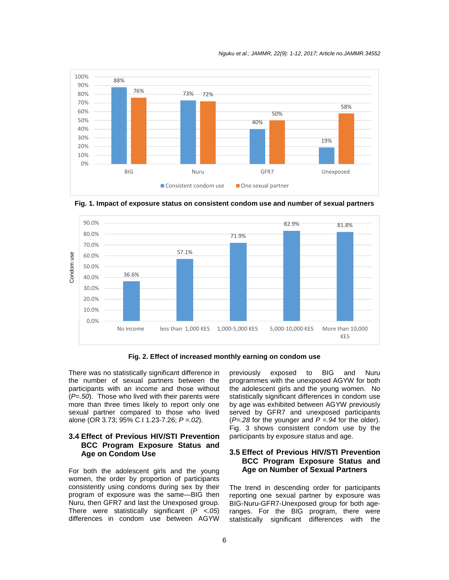Nguku et al.; JAMMR, 22(9): 1-12, 2017; Article no.JAMMR.34552



90.0% 82.9% 81.8% 80.0% 71.9% 70.0% 57.1% Condom use Condom use60.0% 50.0% 36.6% 40.0% 30.0% 20.0% 10.0% 0.0% No income less than 1,000 KES 1,000-5,000 KES 5,000-10,000 KES More than 10,000 KES

**Fig. 1. Impact of exposure status on consistent condom use and number of sexual partners** 

**Fig. 2. Effect of increased monthly earning on condom use** 

There was no statistically significant difference in the number of sexual partners between the participants with an income and those without  $(P=.50)$ . Those who lived with their parents were more than three times likely to report only one sexual partner compared to those who lived alone (OR 3.73; 95% C.I 1.23-7.26;  $P = 02$ ).

# **3.4 Effect of Previous HIV/STI Prevention BCC Program Exposure Status and Age on Condom Use**

For both the adolescent girls and the young women, the order by proportion of participants consistently using condoms during sex by their program of exposure was the same—BIG then Nuru, then GFR7 and last the Unexposed group. There were statistically significant  $(P < .05)$ differences in condom use between AGYW previously exposed to BIG and Nuru programmes with the unexposed AGYW for both the adolescent girls and the young women. No statistically significant differences in condom use by age was exhibited between AGYW previously served by GFR7 and unexposed participants ( $P = 28$  for the younger and  $P = 94$  for the older). Fig. 3 shows consistent condom use by the participants by exposure status and age.

# **3.5 Effect of Previous HIV/STI Prevention BCC Program Exposure Status and Age on Number of Sexual Partners**

The trend in descending order for participants reporting one sexual partner by exposure was BIG-Nuru-GFR7-Unexposed group for both ageranges. For the BIG program, there were statistically significant differences with the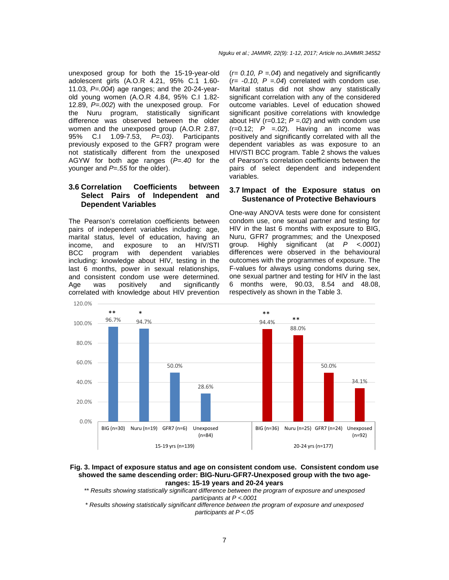unexposed group for both the 15-19-year-old adolescent girls (A.O.R 4.21, 95% C.1 1.60- 11.03,  $P = .004$ ) age ranges; and the 20-24-yearold young women (A.O.R 4.84, 95% C.I 1.82- 12.89,  $P = 0.002$ ) with the unexposed group. For the Nuru program, statistically significant difference was observed between the older women and the unexposed group (A.O.R 2.87, 95% C.I 1.09-7.53,  $P=.03$ ). Participants 95% C.I 1.09-7.53, P=.03). Participants previously exposed to the GFR7 program were not statistically different from the unexposed AGYW for both age ranges  $(P=.40$  for the younger and  $P = .55$  for the older).

# **3.6 Correlation Coefficients between Select Pairs of Independent and Dependent Variables**

The Pearson's correlation coefficients between pairs of independent variables including: age, marital status, level of education, having an income, and exposure to an HIV/STI BCC program with dependent variables including: knowledge about HIV, testing in the last 6 months, power in sexual relationships, and consistent condom use were determined. Age was positively and significantly correlated with knowledge about HIV prevention  $(r= 0.10, P=.04)$  and negatively and significantly  $(r=-0.10, P=.04)$  correlated with condom use. Marital status did not show any statistically significant correlation with any of the considered outcome variables. Level of education showed significant positive correlations with knowledge about HIV (r=0.12;  $P = 0.02$ ) and with condom use  $(r=0.12; P = .02)$ . Having an income was positively and significantly correlated with all the dependent variables as was exposure to an HIV/STI BCC program. Table 2 shows the values of Pearson's correlation coefficients between the pairs of select dependent and independent variables.

# **3.7 Impact of the Exposure status on Sustenance of Protective Behaviours**

One-way ANOVA tests were done for consistent condom use, one sexual partner and testing for HIV in the last 6 months with exposure to BIG, Nuru, GFR7 programmes; and the Unexposed group. Highly significant (at  $P$  <.0001) differences were observed in the behavioural outcomes with the programmes of exposure. The F-values for always using condoms during sex, one sexual partner and testing for HIV in the last 6 months were, 90.03, 8.54 and 48.08, respectively as shown in the Table 3.



#### **Fig. 3. Impact of exposure status and age on consistent condom use. Consistent condom use showed the same descending order: BIG-Nuru-GFR7-Unexposed group with the two ageranges: 15-19 years and 20-24 years**

\*\* Results showing statistically significant difference between the program of exposure and unexposed participants at P <.0001

\* Results showing statistically significant difference between the program of exposure and unexposed participants at P <.05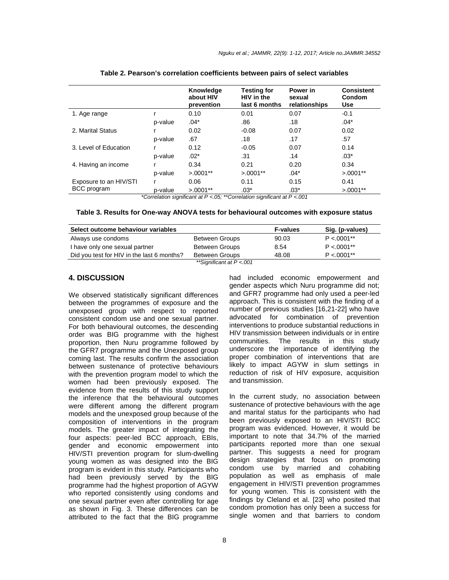|                        |         | Knowledge<br>about HIV<br>prevention | <b>Testing for</b><br>HIV in the<br>last 6 months                                                                                         | Power in<br>sexual<br>relationships | <b>Consistent</b><br>Condom<br><b>Use</b> |
|------------------------|---------|--------------------------------------|-------------------------------------------------------------------------------------------------------------------------------------------|-------------------------------------|-------------------------------------------|
| 1. Age range           |         | 0.10                                 | 0.01                                                                                                                                      | 0.07                                | $-0.1$                                    |
|                        | p-value | $.04*$                               | .86                                                                                                                                       | .18                                 | $.04*$                                    |
| 2. Marital Status      |         | 0.02                                 | $-0.08$                                                                                                                                   | 0.07                                | 0.02                                      |
|                        | p-value | .67                                  | .18                                                                                                                                       | .17                                 | .57                                       |
| 3. Level of Education  |         | 0.12                                 | $-0.05$                                                                                                                                   | 0.07                                | 0.14                                      |
|                        | p-value | $.02*$                               | .31                                                                                                                                       | .14                                 | $.03*$                                    |
| 4. Having an income    |         | 0.34                                 | 0.21                                                                                                                                      | 0.20                                | 0.34                                      |
|                        | p-value | $>0.0001**$                          | $>0.0001**$                                                                                                                               | $.04*$                              | $>0.0001**$                               |
| Exposure to an HIV/STI | r       | 0.06                                 | 0.11                                                                                                                                      | 0.15                                | 0.41                                      |
| <b>BCC</b> program     | p-value | $>0.0001**$                          | $.03*$<br>$*{\mathcal{O}}$ arralation aigmificent at ${\mathsf{D}}$ . OF, $*{\mathcal{O}}$ arralation aigmificent at ${\mathsf{D}}$ . OO1 | $.03*$                              | $>0.0001**$                               |

| Table 2. Pearson's correlation coefficients between pairs of select variables |  |
|-------------------------------------------------------------------------------|--|
|-------------------------------------------------------------------------------|--|

\*Correlation significant at P <.05; \*\*Correlation significant at P <.001

| Table 3. Results for One-way ANOVA tests for behavioural outcomes with exposure status |  |  |  |  |  |  |  |  |  |  |
|----------------------------------------------------------------------------------------|--|--|--|--|--|--|--|--|--|--|
|----------------------------------------------------------------------------------------|--|--|--|--|--|--|--|--|--|--|

| Select outcome behaviour variables         | <b>F-values</b>          | Sig. (p-values) |               |
|--------------------------------------------|--------------------------|-----------------|---------------|
| Always use condoms                         | <b>Between Groups</b>    | 90.03           | $P < 0.001**$ |
| I have only one sexual partner             | <b>Between Groups</b>    | 8.54            | $P < 0.001**$ |
| Did you test for HIV in the last 6 months? | Between Groups           | 48.08           | $P < 0.001**$ |
|                                            | **Significant at P < 001 |                 |               |

# **4. DISCUSSION**

We observed statistically significant differences between the programmes of exposure and the unexposed group with respect to reported consistent condom use and one sexual partner. For both behavioural outcomes, the descending order was BIG programme with the highest proportion, then Nuru programme followed by the GFR7 programme and the Unexposed group coming last. The results confirm the association between sustenance of protective behaviours with the prevention program model to which the women had been previously exposed. The evidence from the results of this study support the inference that the behavioural outcomes were different among the different program models and the unexposed group because of the composition of interventions in the program models. The greater impact of integrating the four aspects: peer-led BCC approach, EBIs, gender and economic empowerment into HIV/STI prevention program for slum-dwelling young women as was designed into the BIG program is evident in this study. Participants who had been previously served by the BIG programme had the highest proportion of AGYW who reported consistently using condoms and one sexual partner even after controlling for age as shown in Fig. 3. These differences can be attributed to the fact that the BIG programme

had included economic empowerment and gender aspects which Nuru programme did not; and GFR7 programme had only used a peer-led approach. This is consistent with the finding of a number of previous studies [16,21-22] who have advocated for combination of prevention interventions to produce substantial reductions in HIV transmission between individuals or in entire communities. The results in this study underscore the importance of identifying the proper combination of interventions that are likely to impact AGYW in slum settings in reduction of risk of HIV exposure, acquisition and transmission.

In the current study, no association between sustenance of protective behaviours with the age and marital status for the participants who had been previously exposed to an HIV/STI BCC program was evidenced. However, it would be important to note that 34.7% of the married participants reported more than one sexual partner. This suggests a need for program design strategies that focus on promoting condom use by married and cohabiting population as well as emphasis of male engagement in HIV/STI prevention programmes for young women. This is consistent with the findings by Cleland et al. [23] who posited that condom promotion has only been a success for single women and that barriers to condom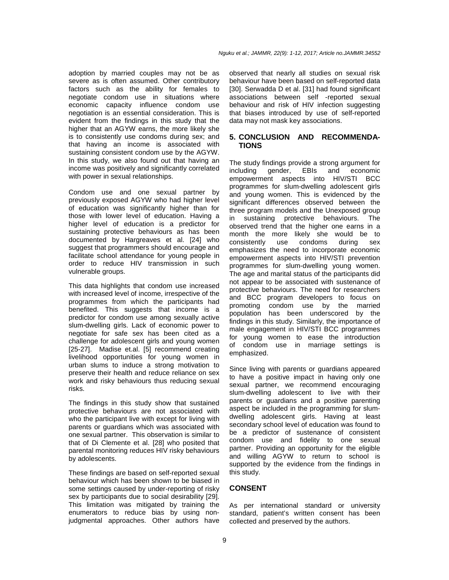adoption by married couples may not be as severe as is often assumed. Other contributory factors such as the ability for females to negotiate condom use in situations where economic capacity influence condom use negotiation is an essential consideration. This is evident from the findings in this study that the higher that an AGYW earns, the more likely she is to consistently use condoms during sex; and that having an income is associated with sustaining consistent condom use by the AGYW. In this study, we also found out that having an income was positively and significantly correlated with power in sexual relationships.

Condom use and one sexual partner by previously exposed AGYW who had higher level of education was significantly higher than for those with lower level of education. Having a higher level of education is a predictor for sustaining protective behaviours as has been documented by Hargreaves et al. [24] who suggest that programmers should encourage and facilitate school attendance for young people in order to reduce HIV transmission in such vulnerable groups.

This data highlights that condom use increased with increased level of income, irrespective of the programmes from which the participants had benefited. This suggests that income is a predictor for condom use among sexually active slum-dwelling girls. Lack of economic power to negotiate for safe sex has been cited as a challenge for adolescent girls and young women [25-27]. Madise et.al. [5] recommend creating livelihood opportunities for young women in urban slums to induce a strong motivation to preserve their health and reduce reliance on sex work and risky behaviours thus reducing sexual risks.

The findings in this study show that sustained protective behaviours are not associated with who the participant live with except for living with parents or guardians which was associated with one sexual partner. This observation is similar to that of Di Clemente et al. [28] who posited that parental monitoring reduces HIV risky behaviours by adolescents.

These findings are based on self-reported sexual behaviour which has been shown to be biased in some settings caused by under-reporting of risky sex by participants due to social desirability [29]. This limitation was mitigated by training the enumerators to reduce bias by using nonjudgmental approaches. Other authors have

observed that nearly all studies on sexual risk behaviour have been based on self-reported data [30]. Serwadda D et al. [31] had found significant associations between self -reported sexual behaviour and risk of HIV infection suggesting that biases introduced by use of self-reported data may not mask key associations.

# **5. CONCLUSION AND RECOMMENDA-TIONS**

The study findings provide a strong argument for including gender, EBIs and economic empowerment aspects into HIV/STI BCC programmes for slum-dwelling adolescent girls and young women. This is evidenced by the significant differences observed between the three program models and the Unexposed group in sustaining protective behaviours. The observed trend that the higher one earns in a month the more likely she would be to<br>consistently use condoms during sex consistently use condoms during sex emphasizes the need to incorporate economic empowerment aspects into HIV/STI prevention programmes for slum-dwelling young women. The age and marital status of the participants did not appear to be associated with sustenance of protective behaviours. The need for researchers and BCC program developers to focus on promoting condom use by the married population has been underscored by the findings in this study. Similarly, the importance of male engagement in HIV/STI BCC programmes for young women to ease the introduction of condom use in marriage settings is emphasized.

Since living with parents or guardians appeared to have a positive impact in having only one sexual partner, we recommend encouraging slum-dwelling adolescent to live with their parents or guardians and a positive parenting aspect be included in the programming for slumdwelling adolescent girls. Having at least secondary school level of education was found to be a predictor of sustenance of consistent condom use and fidelity to one sexual partner. Providing an opportunity for the eligible and willing AGYW to return to school is supported by the evidence from the findings in this study.

#### **CONSENT**

As per international standard or university standard, patient's written consent has been collected and preserved by the authors.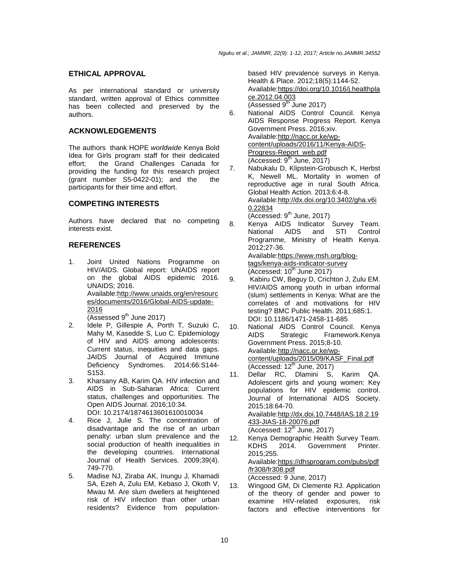#### **ETHICAL APPROVAL**

As per international standard or university standard, written approval of Ethics committee has been collected and preserved by the authors.

#### **ACKNOWLEDGEMENTS**

The authors thank HOPE worldwide Kenya Bold Idea for Girls program staff for their dedicated effort; the Grand Challenges Canada for providing the funding for this research project (grant number S5-0422-01); and the the participants for their time and effort.

#### **COMPETING INTERESTS**

Authors have declared that no competing interests exist.

#### **REFERENCES**

- 1. Joint United Nations Programme on HIV/AIDS. Global report: UNAIDS report on the global AIDS epidemic 2016. UNAIDS; 2016. Available:http://www.unaids.org/en/resourc es/documents/2016/Global-AIDS-update-2016 (Assessed  $9<sup>th</sup>$  June 2017)
- 2. Idele P, Gillespie A, Porth T, Suzuki C, Mahy M, Kasedde S, Luo C. Epidemiology of HIV and AIDS among adolescents: Current status, inequities and data gaps. JAIDS Journal of Acquired Immune Deficiency Syndromes. 2014;66:S144- S153.
- 3. Kharsany AB, Karim QA. HIV infection and AIDS in Sub-Saharan Africa: Current status, challenges and opportunities. The Open AIDS Journal. 2016;10:34. DOI: 10.2174/1874613601610010034
- 4. Rice J, Julie S. The concentration of disadvantage and the rise of an urban penalty: urban slum prevalence and the social production of health inequalities in the developing countries. International Journal of Health Services. 2009;39(4). 749-770.
- 5. Madise NJ, Ziraba AK, Inungu J, Khamadi SA, Ezeh A, Zulu EM, Kebaso J, Okoth V, Mwau M. Are slum dwellers at heightened risk of HIV infection than other urban residents? Evidence from population-

based HIV prevalence surveys in Kenya. Health & Place. 2012;18(5):1144-52. Available:https://doi.org/10.1016/j.healthpla ce.2012.04.003 (Assessed  $9<sup>th</sup>$  June 2017)

- 6. National AIDS Control Council. Kenya AIDS Response Progress Report. Kenya Government Press. 2016;xiv. Available:http://nacc.or.ke/wpcontent/uploads/2016/11/Kenya-AIDS-Progress-Report\_web.pdf  $(Accessed: 9<sup>th</sup> June, 2017)$
- 7. Nabukalu D, Klipstein-Grobusch K, Herbst K, Newell ML. Mortality in women of reproductive age in rural South Africa. Global Health Action. 2013;6:4-8. Available:http://dx.doi.org/10.3402/gha.v6i 0.22834  $\overline{(Accessed: 9<sup>th</sup> June, 2017)}$
- 8. Kenya AIDS Indicator Survey Team. National AIDS and STI Control Programme, Ministry of Health Kenya. 2012;27-36. Available: https://www.msh.org/blog-

```
tags/kenya-aids-indicator-survey
(Accessed: 10<sup>th</sup> June 2017)
```
- 9. Kabiru CW, Beguy D, Crichton J, Zulu EM. HIV/AIDS among youth in urban informal (slum) settlements in Kenya: What are the correlates of and motivations for HIV testing? BMC Public Health. 2011;685:1. DOI: 10.1186/1471-2458-11-685
- 10. National AIDS Control Council. Kenya AIDS Strategic Framework.Kenya Government Press. 2015;8-10. Available:http://nacc.or.ke/wpcontent/uploads/2015/09/KASF\_Final.pdf  $(Accessed: 12<sup>th</sup> June, 2017)$
- 11. Dellar RC, Dlamini S, Karim QA. Adolescent girls and young women: Key populations for HIV epidemic control. Journal of International AIDS Society. 2015;18:64-70. Available:http://dx.doi.10.7448/IAS.18.2.19 433-JIAS-18-20076.pdf  $(Accessed: 12<sup>th</sup> June, 2017)$
- 12. Kenya Demographic Health Survey Team. KDHS 2014. Government Printer. 2015;255. Available:https://dhsprogram.com/pubs/pdf /fr308/fr308.pdf (Accessed: 9 June, 2017)
- 13. Wingood GM, Di Clemente RJ. Application of the theory of gender and power to examine HIV-related exposures, risk factors and effective interventions for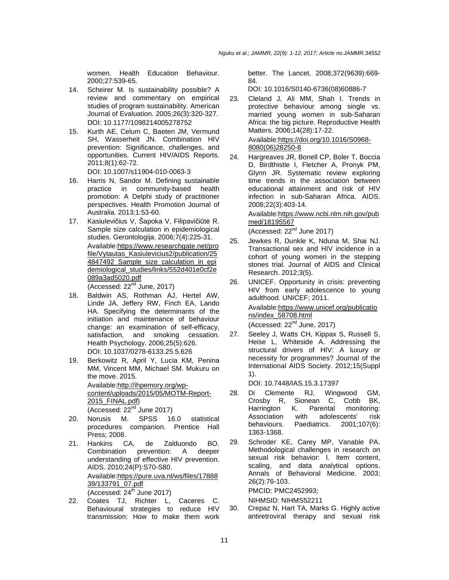women. Health Education Behaviour. 2000;27:539-65.

- 14. Scheirer M. Is sustainability possible? A review and commentary on empirical studies of program sustainability. American Journal of Evaluation. 2005;26(3):320-327. DOI: 10.1177/1098214005278752
- 15. Kurth AE, Celum C, Baeten JM, Vermund SH, Wasserheit JN. Combination HIV prevention: Significance, challenges, and opportunities. Current HIV/AIDS Reports. 2011;8(1):62-72.

DOI: 10.1007/s11904-010-0063-3

- 16. Harris N, Sandor M. Defining sustainable practice in community-based health promotion: A Delphi study of practitioner perspectives. Health Promotion Journal of Australia. 2013;1:53-60.
- 17. Kasiulevičius V, Šapoka V, Filipavičiūtė R. Sample size calculation in epidemiological studies. Gerontologija. 2006;7(4):225-31. Available:https://www.researchgate.net/pro file/Vytautas\_Kasiulevicius2/publication/25 4847492\_Sample\_size\_calculation\_in\_epi demiological\_studies/links/552d401e0cf2e 089a3ad5020.pdf

 $(Accessed: 22<sup>nd</sup> June, 2017)$ 

- 18. Baldwin AS, Rothman AJ, Hertel AW, Linde JA, Jeffery RW, Finch EA, Lando HA. Specifying the determinants of the initiation and maintenance of behaviour change: an examination of self-efficacy, satisfaction, and smoking cessation. Health Psychology. 2006;25(5):626. DOI: 10.1037/0278-6133.25.5.626
- 19. Berkowitz R, April Y, Lucia KM, Penina MM, Vincent MM, Michael SM. Mukuru on the move. 2015. Available:http://ihpemory.org/wpcontent/uploads/2015/05/MOTM-Report-2015\_FINAL.pdf) (Accessed:  $22<sup>nd</sup>$  June 2017)
- 20. Norusis M. SPSS 16.0 statistical procedures companion. Prentice Hall Press; 2008.
- 21. Hankins CA, de Zalduondo BO. Combination prevention: A deeper understanding of effective HIV prevention. AIDS. 2010;24(P):S70-S80. Available:https://pure.uva.nl/ws/files/17888 39/133791\_07.pdf  $(Accessed: 24<sup>th</sup> June 2017)$
- 22. Coates TJ, Richter L, Caceres C. Behavioural strategies to reduce HIV transmission: How to make them work

better. The Lancet. 2008;372(9639):669- 84.

DOI: 10.1016/S0140-6736(08)60886-7

23. Cleland J, Ali MM, Shah I. Trends in protective behaviour among single vs. married young women in sub-Saharan Africa: the big picture. Reproductive Health Matters. 2006;14(28):17-22.

Available:https://doi.org/10.1016/S0968- 8080(06)28250-8

24. Hargreaves JR, Bonell CP, Boler T, Boccia D, Birdthistle I, Fletcher A, Pronyk PM, Glynn JR. Systematic review exploring time trends in the association between educational attainment and risk of HIV infection in sub-Saharan Africa. AIDS. 2008;22(3):403-14.

> Available:https://www.ncbi.nlm.nih.gov/pub med/18195567

(Accessed:  $22<sup>nd</sup>$  June 2017)

- 25. Jewkes R, Dunkle K, Nduna M, Shai NJ. Transactional sex and HIV incidence in a cohort of young women in the stepping stones trial. Journal of AIDS and Clinical Research. 2012;3(5).
- 26. UNICEF. Opportunity in crisis: preventing HIV from early adolescence to young adulthood. UNICEF; 2011.

Available:https://www.unicef.org/publicatio ns/index\_58708.html

(Accessed: 22nd June, 2017)

27. Seeley J, Watts CH, Kippax S, Russell S, Heise L, Whiteside A. Addressing the structural drivers of HIV: A luxury or necessity for programmes? Journal of the International AIDS Society. 2012;15(Suppl 1).

DOI: 10.7448/IAS.15.3.17397

- 28. Di Clemente RJ, Wingwood GM, Crosby R, Sionean C, Cobb BK, Harrington K. Parental monitoring: Association with adolescents' risk<br>behaviours. Paediatrics. 2001:107(6):  $2001;107(6):$ 1363-1368.
- 29. Schroder KE, Carey MP, Vanable PA. Methodological challenges in research on sexual risk behavior: I. Item content, scaling, and data analytical options. Annals of Behavioral Medicine. 2003; 26(2):76-103.

PMCID: PMC2452993; NIHMSID: NIHMS52211

30. Crepaz N, Hart TA, Marks G. Highly active antiretroviral therapy and sexual risk